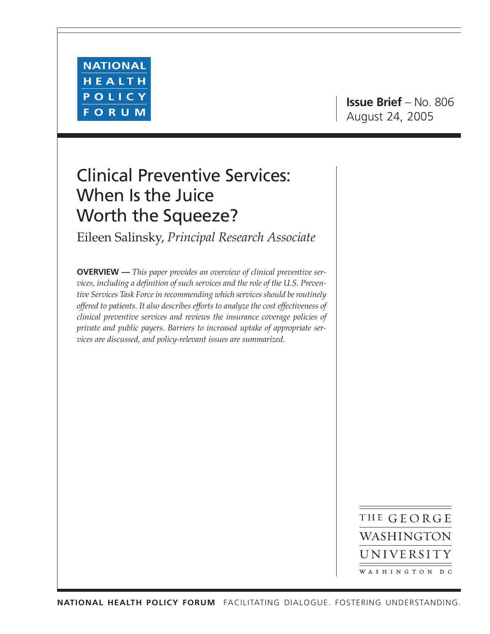

**Issue Brief** – No. 806 August 24, 2005

# Clinical Preventive Services: When Is the Juice Worth the Squeeze?

Eileen Salinsky, *Principal Research Associate*

**OVERVIEW —** *This paper provides an overview of clinical preventive services, including a definition of such services and the role of the U.S. Preventive Services Task Force in recommending which services should be routinely offered to patients. It also describes efforts to analyze the cost effectiveness of clinical preventive services and reviews the insurance coverage policies of private and public payers. Barriers to increased uptake of appropriate services are discussed, and policy-relevant issues are summarized.*

> THE GEORGE WASHINGTON UNIVERSITY WASHINGTON DC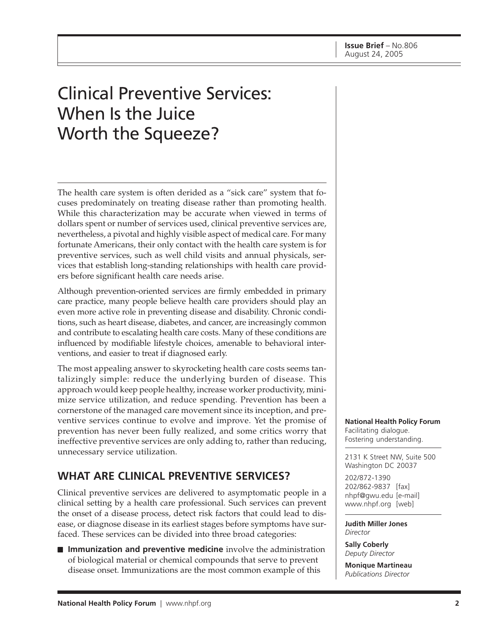# Clinical Preventive Services: When Is the Juice Worth the Squeeze?

The health care system is often derided as a "sick care" system that focuses predominately on treating disease rather than promoting health. While this characterization may be accurate when viewed in terms of dollars spent or number of services used, clinical preventive services are, nevertheless, a pivotal and highly visible aspect of medical care. For many fortunate Americans, their only contact with the health care system is for preventive services, such as well child visits and annual physicals, services that establish long-standing relationships with health care providers before significant health care needs arise.

Although prevention-oriented services are firmly embedded in primary care practice, many people believe health care providers should play an even more active role in preventing disease and disability. Chronic conditions, such as heart disease, diabetes, and cancer, are increasingly common and contribute to escalating health care costs. Many of these conditions are influenced by modifiable lifestyle choices, amenable to behavioral interventions, and easier to treat if diagnosed early.

The most appealing answer to skyrocketing health care costs seems tantalizingly simple: reduce the underlying burden of disease. This approach would keep people healthy, increase worker productivity, minimize service utilization, and reduce spending. Prevention has been a cornerstone of the managed care movement since its inception, and preventive services continue to evolve and improve. Yet the promise of prevention has never been fully realized, and some critics worry that ineffective preventive services are only adding to, rather than reducing, unnecessary service utilization.

# **WHAT ARE CLINICAL PREVENTIVE SERVICES?**

Clinical preventive services are delivered to asymptomatic people in a clinical setting by a health care professional. Such services can prevent the onset of a disease process, detect risk factors that could lead to disease, or diagnose disease in its earliest stages before symptoms have surfaced. These services can be divided into three broad categories:

■ **Immunization and preventive medicine** involve the administration of biological material or chemical compounds that serve to prevent disease onset. Immunizations are the most common example of this

**National Health Policy Forum** Facilitating dialogue. Fostering understanding.

2131 K Street NW, Suite 500 Washington DC 20037

202/872-1390 202/862-9837 [fax] nhpf@gwu.edu [e-mail] www.nhpf.org [web]

**Judith Miller Jones** *Director*

**Sally Coberly** *Deputy Director*

**Monique Martineau** *Publications Director*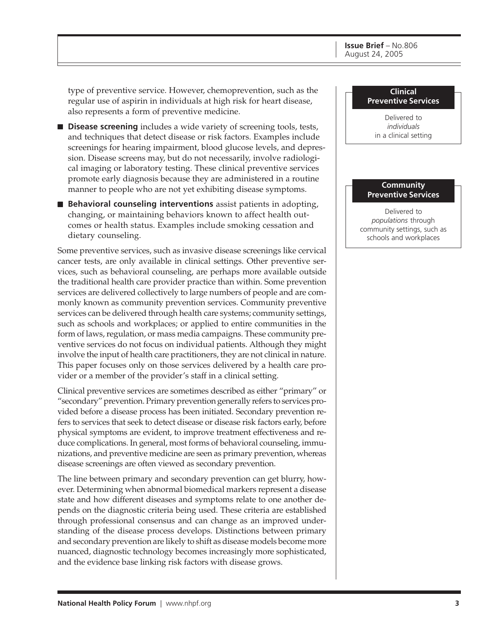type of preventive service. However, chemoprevention, such as the regular use of aspirin in individuals at high risk for heart disease, also represents a form of preventive medicine.

- **Disease screening** includes a wide variety of screening tools, tests, and techniques that detect disease or risk factors. Examples include screenings for hearing impairment, blood glucose levels, and depression. Disease screens may, but do not necessarily, involve radiological imaging or laboratory testing. These clinical preventive services promote early diagnosis because they are administered in a routine manner to people who are not yet exhibiting disease symptoms.
- **Behavioral counseling interventions** assist patients in adopting, changing, or maintaining behaviors known to affect health outcomes or health status. Examples include smoking cessation and dietary counseling.

Some preventive services, such as invasive disease screenings like cervical cancer tests, are only available in clinical settings. Other preventive services, such as behavioral counseling, are perhaps more available outside the traditional health care provider practice than within. Some prevention services are delivered collectively to large numbers of people and are commonly known as community prevention services. Community preventive services can be delivered through health care systems; community settings, such as schools and workplaces; or applied to entire communities in the form of laws, regulation, or mass media campaigns. These community preventive services do not focus on individual patients. Although they might involve the input of health care practitioners, they are not clinical in nature. This paper focuses only on those services delivered by a health care provider or a member of the provider's staff in a clinical setting.

Clinical preventive services are sometimes described as either "primary" or "secondary" prevention. Primary prevention generally refers to services provided before a disease process has been initiated. Secondary prevention refers to services that seek to detect disease or disease risk factors early, before physical symptoms are evident, to improve treatment effectiveness and reduce complications. In general, most forms of behavioral counseling, immunizations, and preventive medicine are seen as primary prevention, whereas disease screenings are often viewed as secondary prevention.

The line between primary and secondary prevention can get blurry, however. Determining when abnormal biomedical markers represent a disease state and how different diseases and symptoms relate to one another depends on the diagnostic criteria being used. These criteria are established through professional consensus and can change as an improved understanding of the disease process develops. Distinctions between primary and secondary prevention are likely to shift as disease models become more nuanced, diagnostic technology becomes increasingly more sophisticated, and the evidence base linking risk factors with disease grows.

#### **Clinical Preventive Services**

Delivered to *individuals* in a clinical setting

#### **Community Preventive Services**

Delivered to *populations* through community settings, such as schools and workplaces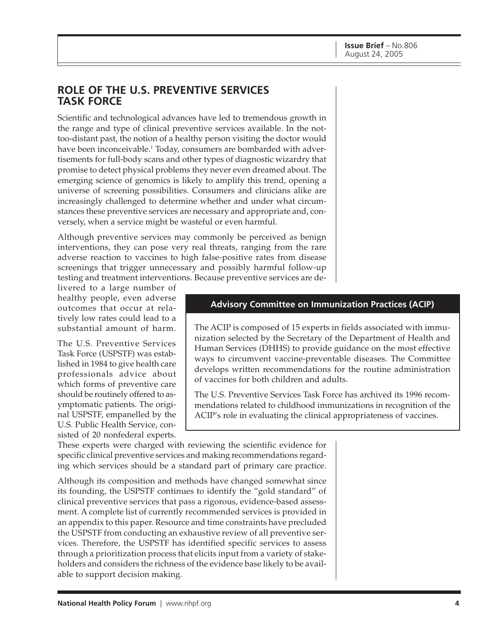## **ROLE OF THE U.S. PREVENTIVE SERVICES TASK FORCE**

Scientific and technological advances have led to tremendous growth in the range and type of clinical preventive services available. In the nottoo-distant past, the notion of a healthy person visiting the doctor would have been inconceivable.<sup>1</sup> Today, consumers are bombarded with advertisements for full-body scans and other types of diagnostic wizardry that promise to detect physical problems they never even dreamed about. The emerging science of genomics is likely to amplify this trend, opening a universe of screening possibilities. Consumers and clinicians alike are increasingly challenged to determine whether and under what circumstances these preventive services are necessary and appropriate and, conversely, when a service might be wasteful or even harmful.

Although preventive services may commonly be perceived as benign interventions, they can pose very real threats, ranging from the rare adverse reaction to vaccines to high false-positive rates from disease screenings that trigger unnecessary and possibly harmful follow-up testing and treatment interventions. Because preventive services are de-

livered to a large number of healthy people, even adverse outcomes that occur at relatively low rates could lead to a substantial amount of harm.

The U.S. Preventive Services Task Force (USPSTF) was established in 1984 to give health care professionals advice about which forms of preventive care should be routinely offered to asymptomatic patients. The original USPSTF, empanelled by the U.S. Public Health Service, consisted of 20 nonfederal experts.

#### **Advisory Committee on Immunization Practices (ACIP)**

The ACIP is composed of 15 experts in fields associated with immunization selected by the Secretary of the Department of Health and Human Services (DHHS) to provide guidance on the most effective ways to circumvent vaccine-preventable diseases. The Committee develops written recommendations for the routine administration of vaccines for both children and adults.

The U.S. Preventive Services Task Force has archived its 1996 recommendations related to childhood immunizations in recognition of the ACIP's role in evaluating the clinical appropriateness of vaccines.

These experts were charged with reviewing the scientific evidence for specific clinical preventive services and making recommendations regarding which services should be a standard part of primary care practice.

Although its composition and methods have changed somewhat since its founding, the USPSTF continues to identify the "gold standard" of clinical preventive services that pass a rigorous, evidence-based assessment. A complete list of currently recommended services is provided in an appendix to this paper. Resource and time constraints have precluded the USPSTF from conducting an exhaustive review of all preventive services. Therefore, the USPSTF has identified specific services to assess through a prioritization process that elicits input from a variety of stakeholders and considers the richness of the evidence base likely to be available to support decision making.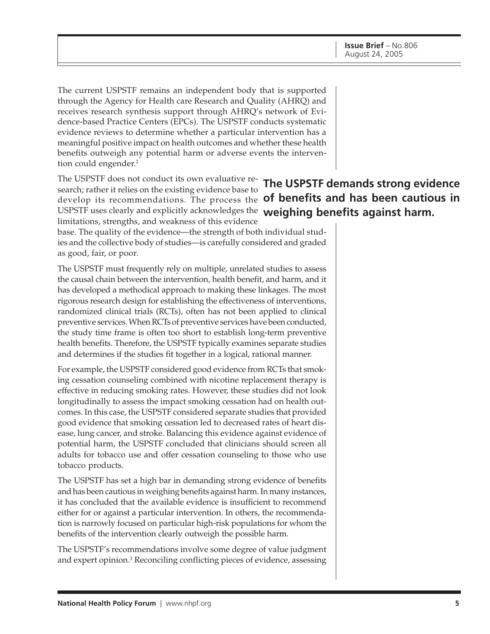The current USPSTF remains an independent body that is supported through the Agency for Health care Research and Quality (AHRQ) and receives research synthesis support through AHRQ's network of Evidence-based Practice Centers (EPCs). The USPSTF conducts systematic evidence reviews to determine whether a particular intervention has a meaningful positive impact on health outcomes and whether these health benefits outweigh any potential harm or adverse events the intervention could engender.<sup>2</sup>

The USPSTF does not conduct its own evaluative research; rather it relies on the existing evidence base to develop its recommendations. The process the **of benefits and has been cautious in** USPSTF uses clearly and explicitly acknowledges the **weighing benefits against harm.**limitations, strengths, and weakness of this evidence

base. The quality of the evidence—the strength of both individual studies and the collective body of studies—is carefully considered and graded as good, fair, or poor.

The USPSTF must frequently rely on multiple, unrelated studies to assess the causal chain between the intervention, health benefit, and harm, and it has developed a methodical approach to making these linkages. The most rigorous research design for establishing the effectiveness of interventions, randomized clinical trials (RCTs), often has not been applied to clinical preventive services. When RCTs of preventive services have been conducted, the study time frame is often too short to establish long-term preventive health benefits. Therefore, the USPSTF typically examines separate studies and determines if the studies fit together in a logical, rational manner.

For example, the USPSTF considered good evidence from RCTs that smoking cessation counseling combined with nicotine replacement therapy is effective in reducing smoking rates. However, these studies did not look longitudinally to assess the impact smoking cessation had on health outcomes. In this case, the USPSTF considered separate studies that provided good evidence that smoking cessation led to decreased rates of heart disease, lung cancer, and stroke. Balancing this evidence against evidence of potential harm, the USPSTF concluded that clinicians should screen all adults for tobacco use and offer cessation counseling to those who use tobacco products.

The USPSTF has set a high bar in demanding strong evidence of benefits and has been cautious in weighing benefits against harm. In many instances, it has concluded that the available evidence is insufficient to recommend either for or against a particular intervention. In others, the recommendation is narrowly focused on particular high-risk populations for whom the benefits of the intervention clearly outweigh the possible harm.

The USPSTF's recommendations involve some degree of value judgment and expert opinion.<sup>3</sup> Reconciling conflicting pieces of evidence, assessing

# **The USPSTF demands strong evidence**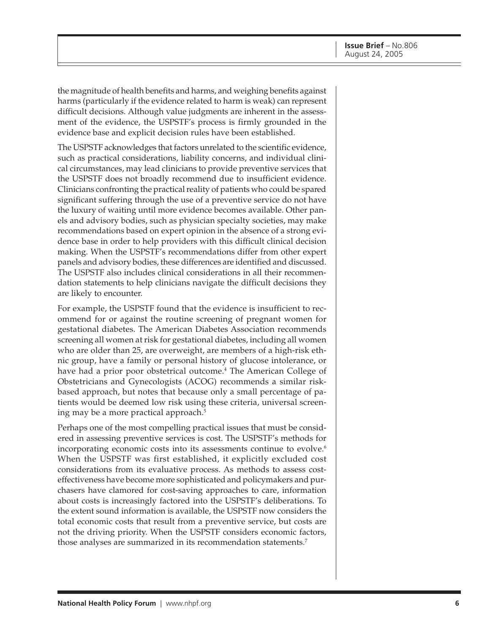the magnitude of health benefits and harms, and weighing benefits against harms (particularly if the evidence related to harm is weak) can represent difficult decisions. Although value judgments are inherent in the assessment of the evidence, the USPSTF's process is firmly grounded in the evidence base and explicit decision rules have been established.

The USPSTF acknowledges that factors unrelated to the scientific evidence, such as practical considerations, liability concerns, and individual clinical circumstances, may lead clinicians to provide preventive services that the USPSTF does not broadly recommend due to insufficient evidence. Clinicians confronting the practical reality of patients who could be spared significant suffering through the use of a preventive service do not have the luxury of waiting until more evidence becomes available. Other panels and advisory bodies, such as physician specialty societies, may make recommendations based on expert opinion in the absence of a strong evidence base in order to help providers with this difficult clinical decision making. When the USPSTF's recommendations differ from other expert panels and advisory bodies, these differences are identified and discussed. The USPSTF also includes clinical considerations in all their recommendation statements to help clinicians navigate the difficult decisions they are likely to encounter.

For example, the USPSTF found that the evidence is insufficient to recommend for or against the routine screening of pregnant women for gestational diabetes. The American Diabetes Association recommends screening all women at risk for gestational diabetes, including all women who are older than 25, are overweight, are members of a high-risk ethnic group, have a family or personal history of glucose intolerance, or have had a prior poor obstetrical outcome.<sup>4</sup> The American College of Obstetricians and Gynecologists (ACOG) recommends a similar riskbased approach, but notes that because only a small percentage of patients would be deemed low risk using these criteria, universal screening may be a more practical approach.<sup>5</sup>

Perhaps one of the most compelling practical issues that must be considered in assessing preventive services is cost. The USPSTF's methods for incorporating economic costs into its assessments continue to evolve.<sup>6</sup> When the USPSTF was first established, it explicitly excluded cost considerations from its evaluative process. As methods to assess costeffectiveness have become more sophisticated and policymakers and purchasers have clamored for cost-saving approaches to care, information about costs is increasingly factored into the USPSTF's deliberations. To the extent sound information is available, the USPSTF now considers the total economic costs that result from a preventive service, but costs are not the driving priority. When the USPSTF considers economic factors, those analyses are summarized in its recommendation statements.7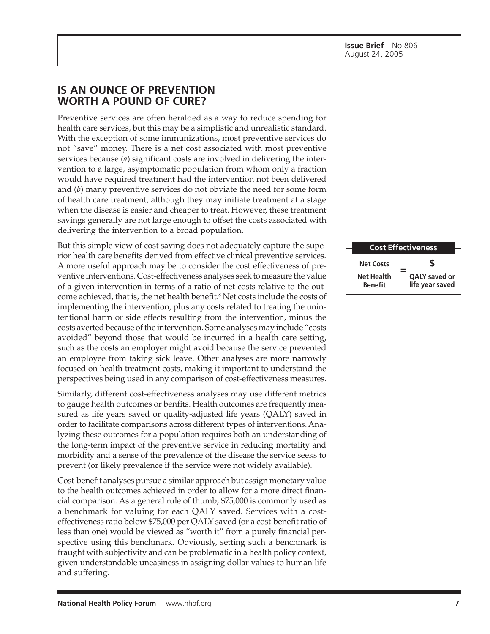## **IS AN OUNCE OF PREVENTION WORTH A POUND OF CURE?**

Preventive services are often heralded as a way to reduce spending for health care services, but this may be a simplistic and unrealistic standard. With the exception of some immunizations, most preventive services do not "save" money. There is a net cost associated with most preventive services because (*a*) significant costs are involved in delivering the intervention to a large, asymptomatic population from whom only a fraction would have required treatment had the intervention not been delivered and (*b*) many preventive services do not obviate the need for some form of health care treatment, although they may initiate treatment at a stage when the disease is easier and cheaper to treat. However, these treatment savings generally are not large enough to offset the costs associated with delivering the intervention to a broad population.

But this simple view of cost saving does not adequately capture the superior health care benefits derived from effective clinical preventive services. A more useful approach may be to consider the cost effectiveness of preventive interventions. Cost-effectiveness analyses seek to measure the value of a given intervention in terms of a ratio of net costs relative to the outcome achieved, that is, the net health benefit.<sup>8</sup> Net costs include the costs of implementing the intervention, plus any costs related to treating the unintentional harm or side effects resulting from the intervention, minus the costs averted because of the intervention. Some analyses may include "costs avoided" beyond those that would be incurred in a health care setting, such as the costs an employer might avoid because the service prevented an employee from taking sick leave. Other analyses are more narrowly focused on health treatment costs, making it important to understand the perspectives being used in any comparison of cost-effectiveness measures.

Similarly, different cost-effectiveness analyses may use different metrics to gauge health outcomes or benfits. Health outcomes are frequently measured as life years saved or quality-adjusted life years (QALY) saved in order to facilitate comparisons across different types of interventions. Analyzing these outcomes for a population requires both an understanding of the long-term impact of the preventive service in reducing mortality and morbidity and a sense of the prevalence of the disease the service seeks to prevent (or likely prevalence if the service were not widely available).

Cost-benefit analyses pursue a similar approach but assign monetary value to the health outcomes achieved in order to allow for a more direct financial comparison. As a general rule of thumb, \$75,000 is commonly used as a benchmark for valuing for each QALY saved. Services with a costeffectiveness ratio below \$75,000 per QALY saved (or a cost-benefit ratio of less than one) would be viewed as "worth it" from a purely financial perspective using this benchmark. Obviously, setting such a benchmark is fraught with subjectivity and can be problematic in a health policy context, given understandable uneasiness in assigning dollar values to human life and suffering.

| <b>Cost Effectiveness</b>           |                                  |
|-------------------------------------|----------------------------------|
| <b>Net Costs</b>                    | S                                |
| <b>Net Health</b><br><b>Benefit</b> | QALY saved or<br>life year saved |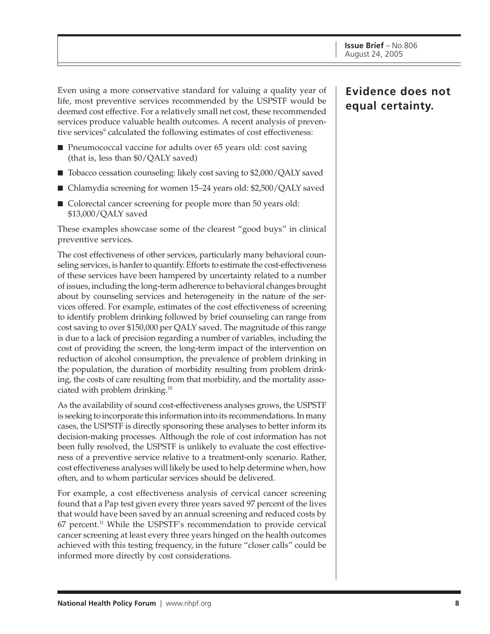Even using a more conservative standard for valuing a quality year of life, most preventive services recommended by the USPSTF would be deemed cost effective. For a relatively small net cost, these recommended services produce valuable health outcomes. A recent analysis of preventive services<sup>9</sup> calculated the following estimates of cost effectiveness:

- Pneumococcal vaccine for adults over 65 years old: cost saving (that is, less than \$0/QALY saved)
- Tobacco cessation counseling: likely cost saving to \$2,000/QALY saved
- Chlamydia screening for women 15–24 years old: \$2,500/QALY saved
- Colorectal cancer screening for people more than 50 years old: \$13,000/QALY saved

These examples showcase some of the clearest "good buys" in clinical preventive services.

The cost effectiveness of other services, particularly many behavioral counseling services, is harder to quantify. Efforts to estimate the cost-effectiveness of these services have been hampered by uncertainty related to a number of issues, including the long-term adherence to behavioral changes brought about by counseling services and heterogeneity in the nature of the services offered. For example, estimates of the cost effectiveness of screening to identify problem drinking followed by brief counseling can range from cost saving to over \$150,000 per QALY saved. The magnitude of this range is due to a lack of precision regarding a number of variables, including the cost of providing the screen, the long-term impact of the intervention on reduction of alcohol consumption, the prevalence of problem drinking in the population, the duration of morbidity resulting from problem drinking, the costs of care resulting from that morbidity, and the mortality associated with problem drinking.10

As the availability of sound cost-effectiveness analyses grows, the USPSTF is seeking to incorporate this information into its recommendations. In many cases, the USPSTF is directly sponsoring these analyses to better inform its decision-making processes. Although the role of cost information has not been fully resolved, the USPSTF is unlikely to evaluate the cost effectiveness of a preventive service relative to a treatment-only scenario. Rather, cost effectiveness analyses will likely be used to help determine when, how often, and to whom particular services should be delivered.

For example, a cost effectiveness analysis of cervical cancer screening found that a Pap test given every three years saved 97 percent of the lives that would have been saved by an annual screening and reduced costs by  $67$  percent.<sup>11</sup> While the USPSTF's recommendation to provide cervical cancer screening at least every three years hinged on the health outcomes achieved with this testing frequency, in the future "closer calls" could be informed more directly by cost considerations.

**Evidence does not equal certainty.**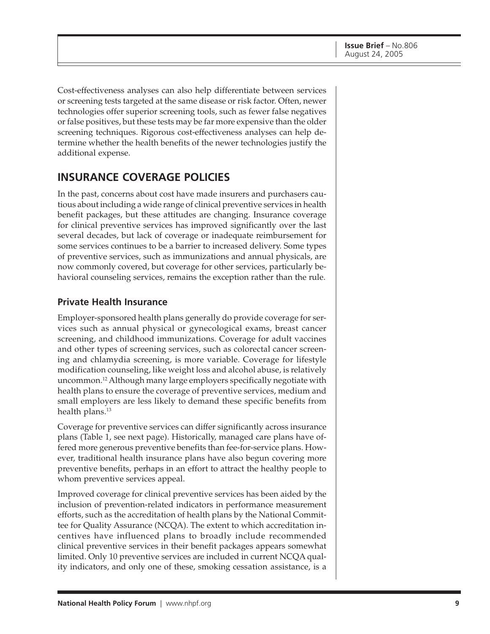Cost-effectiveness analyses can also help differentiate between services or screening tests targeted at the same disease or risk factor. Often, newer technologies offer superior screening tools, such as fewer false negatives or false positives, but these tests may be far more expensive than the older screening techniques. Rigorous cost-effectiveness analyses can help determine whether the health benefits of the newer technologies justify the additional expense.

# **INSURANCE COVERAGE POLICIES**

In the past, concerns about cost have made insurers and purchasers cautious about including a wide range of clinical preventive services in health benefit packages, but these attitudes are changing. Insurance coverage for clinical preventive services has improved significantly over the last several decades, but lack of coverage or inadequate reimbursement for some services continues to be a barrier to increased delivery. Some types of preventive services, such as immunizations and annual physicals, are now commonly covered, but coverage for other services, particularly behavioral counseling services, remains the exception rather than the rule.

#### **Private Health Insurance**

Employer-sponsored health plans generally do provide coverage for services such as annual physical or gynecological exams, breast cancer screening, and childhood immunizations. Coverage for adult vaccines and other types of screening services, such as colorectal cancer screening and chlamydia screening, is more variable. Coverage for lifestyle modification counseling, like weight loss and alcohol abuse, is relatively uncommon.12 Although many large employers specifically negotiate with health plans to ensure the coverage of preventive services, medium and small employers are less likely to demand these specific benefits from health plans.<sup>13</sup>

Coverage for preventive services can differ significantly across insurance plans (Table 1, see next page). Historically, managed care plans have offered more generous preventive benefits than fee-for-service plans. However, traditional health insurance plans have also begun covering more preventive benefits, perhaps in an effort to attract the healthy people to whom preventive services appeal.

Improved coverage for clinical preventive services has been aided by the inclusion of prevention-related indicators in performance measurement efforts, such as the accreditation of health plans by the National Committee for Quality Assurance (NCQA). The extent to which accreditation incentives have influenced plans to broadly include recommended clinical preventive services in their benefit packages appears somewhat limited. Only 10 preventive services are included in current NCQA quality indicators, and only one of these, smoking cessation assistance, is a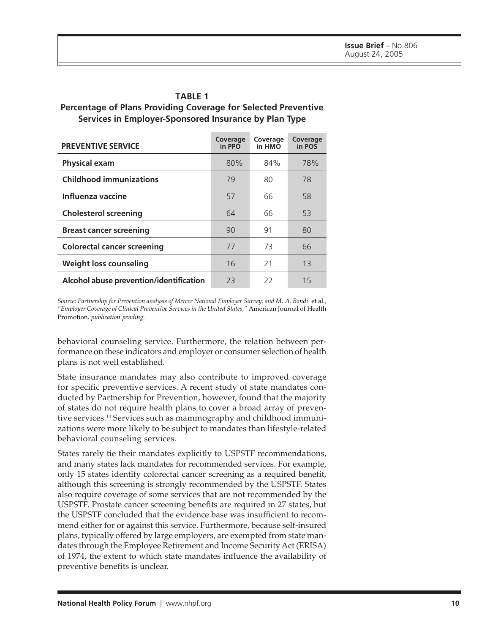#### **TABLE 1**

#### **Percentage of Plans Providing Coverage for Selected Preventive Services in Employer-Sponsored Insurance by Plan Type**

| <b>PREVENTIVE SERVICE</b>               | Coverage<br>in PPO | Coverage<br>in HMO | Coverage<br>in POS |
|-----------------------------------------|--------------------|--------------------|--------------------|
| <b>Physical exam</b>                    | 80%                | 84%                | 78%                |
| <b>Childhood immunizations</b>          | 79                 | 80                 | 78                 |
| Influenza vaccine                       | 57                 | 66                 | 58                 |
| <b>Cholesterol screening</b>            | 64                 | 66                 | 53                 |
| <b>Breast cancer screening</b>          | 90                 | 91                 | 80                 |
| <b>Colorectal cancer screening</b>      | 77                 | 73                 | 66                 |
| <b>Weight loss counseling</b>           | 16                 | 21                 | 13                 |
| Alcohol abuse prevention/identification | 23                 | 22                 | 15                 |

*Source: Partnership for Prevention analysis of Mercer National Employer Survey; and M. A. Bondi* et al.*, "Employer Coverage of Clinical Preventive Services in the United States,"* American Journal of Health Promotion*, publication pending.*

behavioral counseling service. Furthermore, the relation between performance on these indicators and employer or consumer selection of health plans is not well established.

State insurance mandates may also contribute to improved coverage for specific preventive services. A recent study of state mandates conducted by Partnership for Prevention, however, found that the majority of states do not require health plans to cover a broad array of preventive services.14 Services such as mammography and childhood immunizations were more likely to be subject to mandates than lifestyle-related behavioral counseling services.

States rarely tie their mandates explicitly to USPSTF recommendations, and many states lack mandates for recommended services. For example, only 15 states identify colorectal cancer screening as a required benefit, although this screening is strongly recommended by the USPSTF. States also require coverage of some services that are not recommended by the USPSTF. Prostate cancer screening benefits are required in 27 states, but the USPSTF concluded that the evidence base was insufficient to recommend either for or against this service. Furthermore, because self-insured plans, typically offered by large employers, are exempted from state mandates through the Employee Retirement and Income Security Act (ERISA) of 1974, the extent to which state mandates influence the availability of preventive benefits is unclear.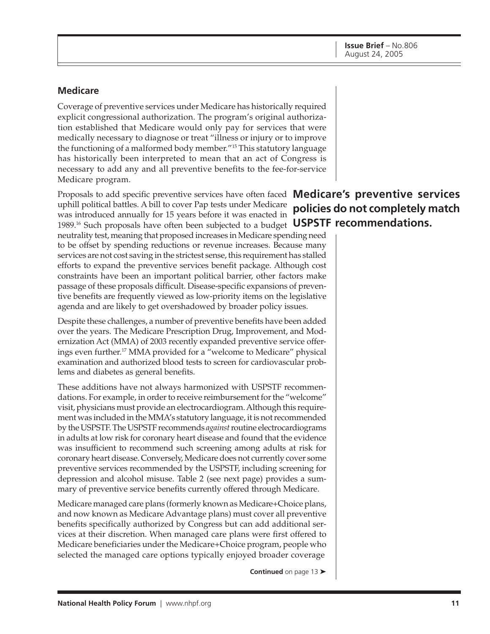#### **Medicare**

Coverage of preventive services under Medicare has historically required explicit congressional authorization. The program's original authorization established that Medicare would only pay for services that were medically necessary to diagnose or treat "illness or injury or to improve the functioning of a malformed body member."15 This statutory language has historically been interpreted to mean that an act of Congress is necessary to add any and all preventive benefits to the fee-for-service Medicare program.

Proposals to add specific preventive services have often faced **Medicare's preventive services** 1989.<sup>16</sup> Such proposals have often been subjected to a budget **USPSTF recommendations.** uphill political battles. A bill to cover Pap tests under Medicare was introduced annually for 15 years before it was enacted in

neutrality test, meaning that proposed increases in Medicare spending need to be offset by spending reductions or revenue increases. Because many services are not cost saving in the strictest sense, this requirement has stalled efforts to expand the preventive services benefit package. Although cost constraints have been an important political barrier, other factors make passage of these proposals difficult. Disease-specific expansions of preventive benefits are frequently viewed as low-priority items on the legislative agenda and are likely to get overshadowed by broader policy issues.

Despite these challenges, a number of preventive benefits have been added over the years. The Medicare Prescription Drug, Improvement, and Modernization Act (MMA) of 2003 recently expanded preventive service offerings even further.17 MMA provided for a "welcome to Medicare" physical examination and authorized blood tests to screen for cardiovascular problems and diabetes as general benefits.

These additions have not always harmonized with USPSTF recommendations. For example, in order to receive reimbursement for the "welcome" visit, physicians must provide an electrocardiogram. Although this requirement was included in the MMA's statutory language, it is not recommended by the USPSTF. The USPSTF recommends *against* routine electrocardiograms in adults at low risk for coronary heart disease and found that the evidence was insufficient to recommend such screening among adults at risk for coronary heart disease. Conversely, Medicare does not currently cover some preventive services recommended by the USPSTF, including screening for depression and alcohol misuse. Table 2 (see next page) provides a summary of preventive service benefits currently offered through Medicare.

Medicare managed care plans (formerly known as Medicare+Choice plans, and now known as Medicare Advantage plans) must cover all preventive benefits specifically authorized by Congress but can add additional services at their discretion. When managed care plans were first offered to Medicare beneficiaries under the Medicare+Choice program, people who selected the managed care options typically enjoyed broader coverage

**Continued** on page 13 ➤

# **policies do not completely match**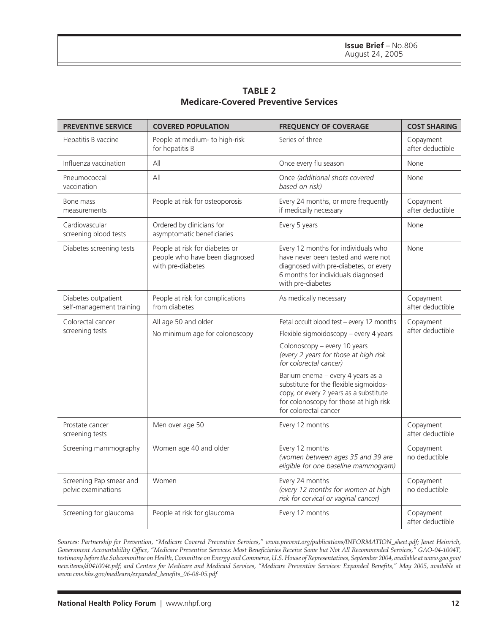|                                             | <b>TABLE 2</b> |  |
|---------------------------------------------|----------------|--|
| <b>Medicare-Covered Preventive Services</b> |                |  |

| <b>PREVENTIVE SERVICE</b>                       | <b>COVERED POPULATION</b>                                                             | <b>FREQUENCY OF COVERAGE</b>                                                                                                                                                             | <b>COST SHARING</b>           |
|-------------------------------------------------|---------------------------------------------------------------------------------------|------------------------------------------------------------------------------------------------------------------------------------------------------------------------------------------|-------------------------------|
| Hepatitis B vaccine                             | People at medium- to high-risk<br>for hepatitis B                                     | Series of three                                                                                                                                                                          | Copayment<br>after deductible |
| Influenza vaccination                           | All                                                                                   | Once every flu season                                                                                                                                                                    | None                          |
| Pneumococcal<br>vaccination                     | All                                                                                   | Once (additional shots covered<br>based on risk)                                                                                                                                         | None                          |
| Bone mass<br>measurements                       | People at risk for osteoporosis                                                       | Every 24 months, or more frequently<br>if medically necessary                                                                                                                            | Copayment<br>after deductible |
| Cardiovascular<br>screening blood tests         | Ordered by clinicians for<br>asymptomatic beneficiaries                               | Every 5 years                                                                                                                                                                            | None                          |
| Diabetes screening tests                        | People at risk for diabetes or<br>people who have been diagnosed<br>with pre-diabetes | Every 12 months for individuals who<br>have never been tested and were not<br>diagnosed with pre-diabetes, or every<br>6 months for individuals diagnosed<br>with pre-diabetes           | None                          |
| Diabetes outpatient<br>self-management training | People at risk for complications<br>from diabetes                                     | As medically necessary                                                                                                                                                                   | Copayment<br>after deductible |
| Colorectal cancer<br>screening tests            | All age 50 and older<br>No minimum age for colonoscopy                                | Fetal occult blood test - every 12 months<br>Flexible sigmoidoscopy - every 4 years                                                                                                      | Copayment<br>after deductible |
|                                                 |                                                                                       | Colonoscopy - every 10 years<br>(every 2 years for those at high risk<br>for colorectal cancer)                                                                                          |                               |
|                                                 |                                                                                       | Barium enema - every 4 years as a<br>substitute for the flexible sigmoidos-<br>copy, or every 2 years as a substitute<br>for colonoscopy for those at high risk<br>for colorectal cancer |                               |
| Prostate cancer<br>screening tests              | Men over age 50                                                                       | Every 12 months                                                                                                                                                                          | Copayment<br>after deductible |
| Screening mammography                           | Women age 40 and older                                                                | Every 12 months<br>(women between ages 35 and 39 are<br>eligible for one baseline mammogram)                                                                                             | Copayment<br>no deductible    |
| Screening Pap smear and<br>pelvic examinations  | Women                                                                                 | Every 24 months<br>(every 12 months for women at high<br>risk for cervical or vaginal cancer)                                                                                            | Copayment<br>no deductible    |
| Screening for glaucoma                          | People at risk for glaucoma                                                           | Every 12 months                                                                                                                                                                          | Copayment<br>after deductible |

*Sources: Partnership for Prevention, "Medicare Covered Preventive Services," www.prevent.org/publications/INFORMATION\_sheet.pdf; Janet Heinrich, Government Accountability Office, "Medicare Preventive Services: Most Beneficiaries Receive Some but Not All Recommended Services," GAO-04-1004T, testimony before the Subcommittee on Health, Committee on Energy and Commerce, U.S. House of Representatives, September 2004, available at www.gao.gov/ new.items/d041004t.pdf; and Centers for Medicare and Medicaid Services, "Medicare Preventive Services: Expanded Benefits," May 2005, available at www.cms.hhs.gov/medlearn/expanded\_benefits\_06-08-05.pdf*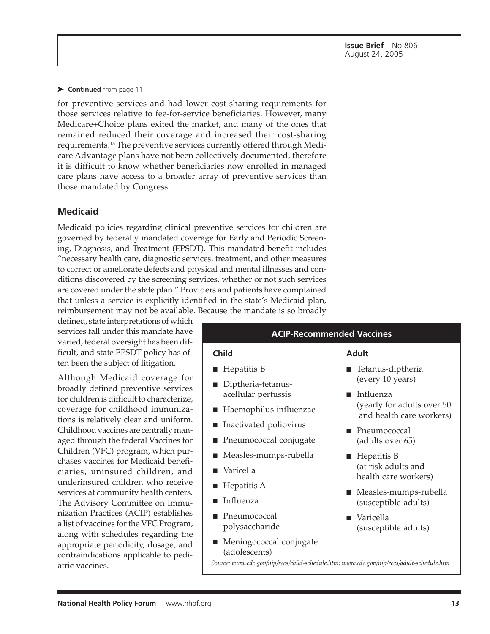for preventive services and had lower cost-sharing requirements for those services relative to fee-for-service beneficiaries. However, many Medicare+Choice plans exited the market, and many of the ones that remained reduced their coverage and increased their cost-sharing requirements.18 The preventive services currently offered through Medicare Advantage plans have not been collectively documented, therefore it is difficult to know whether beneficiaries now enrolled in managed care plans have access to a broader array of preventive services than those mandated by Congress.

#### **Medicaid**

Medicaid policies regarding clinical preventive services for children are governed by federally mandated coverage for Early and Periodic Screening, Diagnosis, and Treatment (EPSDT). This mandated benefit includes "necessary health care, diagnostic services, treatment, and other measures to correct or ameliorate defects and physical and mental illnesses and conditions discovered by the screening services, whether or not such services are covered under the state plan." Providers and patients have complained that unless a service is explicitly identified in the state's Medicaid plan, reimbursement may not be available. Because the mandate is so broadly

defined, state interpretations of which services fall under this mandate have varied, federal oversight has been difficult, and state EPSDT policy has often been the subject of litigation.

Although Medicaid coverage for broadly defined preventive services for children is difficult to characterize, coverage for childhood immunizations is relatively clear and uniform. Childhood vaccines are centrally managed through the federal Vaccines for Children (VFC) program, which purchases vaccines for Medicaid beneficiaries, uninsured children, and underinsured children who receive services at community health centers. The Advisory Committee on Immunization Practices (ACIP) establishes a list of vaccines for the VFC Program, along with schedules regarding the appropriate periodicity, dosage, and contraindications applicable to pediatric vaccines.

#### **ACIP-Recommended Vaccines**

#### **Child**

- Hepatitis B
- Diptheria-tetanusacellular pertussis
- Haemophilus influenzae
- Inactivated poliovirus
- Pneumococcal conjugate
- Measles-mumps-rubella
- Varicella
- Hepatitis A
- Influenza
- Pneumococcal polysaccharide
- Meningococcal conjugate (adolescents)

#### **Adult**

- Tetanus-diptheria (every 10 years)
- Influenza (yearly for adults over 50 and health care workers)
- Pneumococcal (adults over 65)
- Hepatitis B (at risk adults and health care workers)
- Measles-mumps-rubella (susceptible adults)
- Varicella (susceptible adults)

*Source: www.cdc.gov/nip/recs/child-schedule.htm; www.cdc.gov/nip/recs/adult-schedule.htm*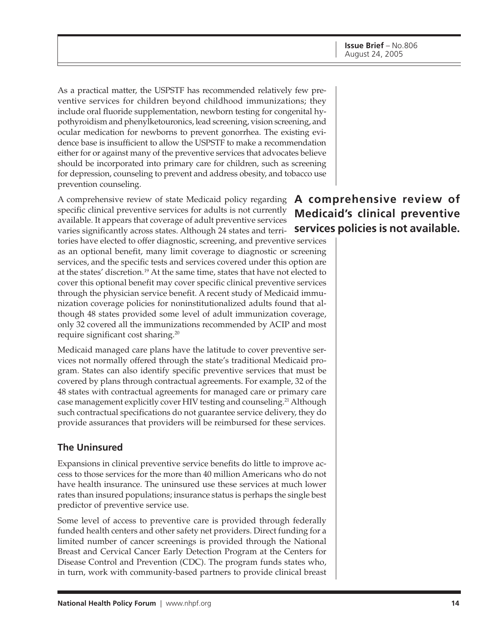As a practical matter, the USPSTF has recommended relatively few preventive services for children beyond childhood immunizations; they include oral fluoride supplementation, newborn testing for congenital hypothyroidism and phenylketouronics, lead screening, vision screening, and ocular medication for newborns to prevent gonorrhea. The existing evidence base is insufficient to allow the USPSTF to make a recommendation either for or against many of the preventive services that advocates believe should be incorporated into primary care for children, such as screening for depression, counseling to prevent and address obesity, and tobacco use prevention counseling.

A comprehensive review of state Medicaid policy regarding **A comprehensive review of** specific clinical preventive services for adults is not currently available. It appears that coverage of adult preventive services varies significantly across states. Although 24 states and terri-**services policies is not available.**tories have elected to offer diagnostic, screening, and preventive services as an optional benefit, many limit coverage to diagnostic or screening services, and the specific tests and services covered under this option are

at the states' discretion.19 At the same time, states that have not elected to cover this optional benefit may cover specific clinical preventive services through the physician service benefit. A recent study of Medicaid immunization coverage policies for noninstitutionalized adults found that although 48 states provided some level of adult immunization coverage, only 32 covered all the immunizations recommended by ACIP and most require significant cost sharing.20

Medicaid managed care plans have the latitude to cover preventive services not normally offered through the state's traditional Medicaid program. States can also identify specific preventive services that must be covered by plans through contractual agreements. For example, 32 of the 48 states with contractual agreements for managed care or primary care case management explicitly cover HIV testing and counseling.<sup>21</sup> Although such contractual specifications do not guarantee service delivery, they do provide assurances that providers will be reimbursed for these services.

#### **The Uninsured**

Expansions in clinical preventive service benefits do little to improve access to those services for the more than 40 million Americans who do not have health insurance. The uninsured use these services at much lower rates than insured populations; insurance status is perhaps the single best predictor of preventive service use.

Some level of access to preventive care is provided through federally funded health centers and other safety net providers. Direct funding for a limited number of cancer screenings is provided through the National Breast and Cervical Cancer Early Detection Program at the Centers for Disease Control and Prevention (CDC). The program funds states who, in turn, work with community-based partners to provide clinical breast

# **Medicaid's clinical preventive**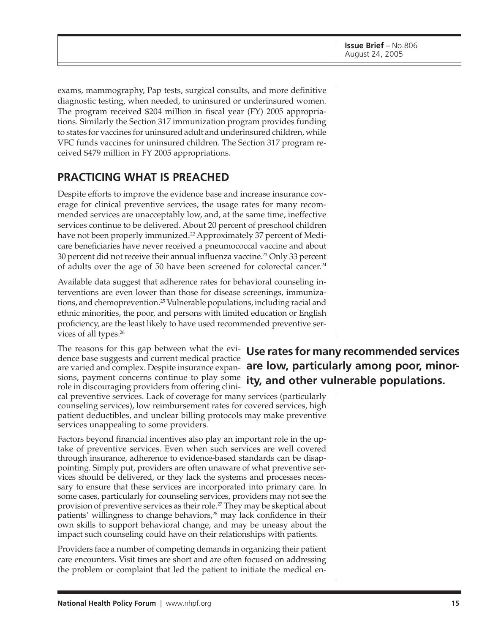exams, mammography, Pap tests, surgical consults, and more definitive diagnostic testing, when needed, to uninsured or underinsured women. The program received \$204 million in fiscal year (FY) 2005 appropriations. Similarly the Section 317 immunization program provides funding to states for vaccines for uninsured adult and underinsured children, while VFC funds vaccines for uninsured children. The Section 317 program received \$479 million in FY 2005 appropriations.

# **PRACTICING WHAT IS PREACHED**

Despite efforts to improve the evidence base and increase insurance coverage for clinical preventive services, the usage rates for many recommended services are unacceptably low, and, at the same time, ineffective services continue to be delivered. About 20 percent of preschool children have not been properly immunized.<sup>22</sup> Approximately 37 percent of Medicare beneficiaries have never received a pneumococcal vaccine and about 30 percent did not receive their annual influenza vaccine.<sup>23</sup> Only 33 percent of adults over the age of 50 have been screened for colorectal cancer.<sup>24</sup>

Available data suggest that adherence rates for behavioral counseling interventions are even lower than those for disease screenings, immunizations, and chemoprevention.<sup>25</sup> Vulnerable populations, including racial and ethnic minorities, the poor, and persons with limited education or English proficiency, are the least likely to have used recommended preventive services of all types.<sup>26</sup>

dence base suggests and current medical practice role in discouraging providers from offering clini-

cal preventive services. Lack of coverage for many services (particularly counseling services), low reimbursement rates for covered services, high patient deductibles, and unclear billing protocols may make preventive services unappealing to some providers.

Factors beyond financial incentives also play an important role in the uptake of preventive services. Even when such services are well covered through insurance, adherence to evidence-based standards can be disappointing. Simply put, providers are often unaware of what preventive services should be delivered, or they lack the systems and processes necessary to ensure that these services are incorporated into primary care. In some cases, particularly for counseling services, providers may not see the provision of preventive services as their role.<sup>27</sup> They may be skeptical about patients' willingness to change behaviors, $28$  may lack confidence in their own skills to support behavioral change, and may be uneasy about the impact such counseling could have on their relationships with patients.

Providers face a number of competing demands in organizing their patient care encounters. Visit times are short and are often focused on addressing the problem or complaint that led the patient to initiate the medical en-

# The reasons for this gap between what the evi- **Use rates for many recommended services** are varied and complex. Despite insurance expan- **are low, particularly among poor, minor**sions, payment concerns continue to play some **ity, and other vulnerable populations.**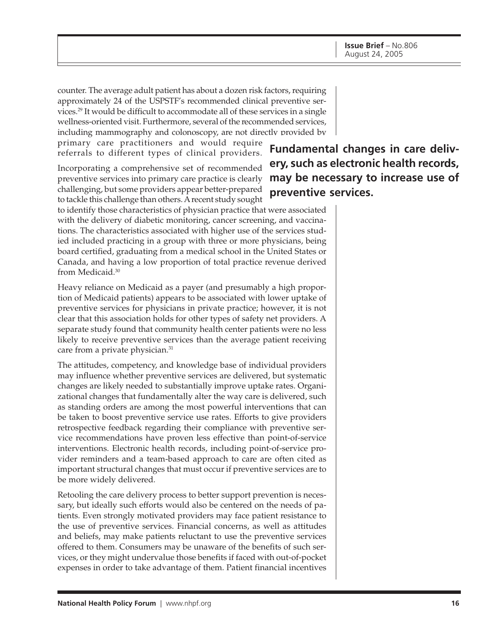counter. The average adult patient has about a dozen risk factors, requiring approximately 24 of the USPSTF's recommended clinical preventive services.29 It would be difficult to accommodate all of these services in a single wellness-oriented visit. Furthermore, several of the recommended services, including mammography and colonoscopy, are not directly provided by

primary care practitioners and would require referrals to different types of clinical providers.

Incorporating a comprehensive set of recommended preventive services into primary care practice is clearly challenging, but some providers appear better-prepared to tackle this challenge than others. A recent study sought

to identify those characteristics of physician practice that were associated with the delivery of diabetic monitoring, cancer screening, and vaccinations. The characteristics associated with higher use of the services studied included practicing in a group with three or more physicians, being board certified, graduating from a medical school in the United States or Canada, and having a low proportion of total practice revenue derived from Medicaid.30

Heavy reliance on Medicaid as a payer (and presumably a high proportion of Medicaid patients) appears to be associated with lower uptake of preventive services for physicians in private practice; however, it is not clear that this association holds for other types of safety net providers. A separate study found that community health center patients were no less likely to receive preventive services than the average patient receiving care from a private physician.<sup>31</sup>

The attitudes, competency, and knowledge base of individual providers may influence whether preventive services are delivered, but systematic changes are likely needed to substantially improve uptake rates. Organizational changes that fundamentally alter the way care is delivered, such as standing orders are among the most powerful interventions that can be taken to boost preventive service use rates. Efforts to give providers retrospective feedback regarding their compliance with preventive service recommendations have proven less effective than point-of-service interventions. Electronic health records, including point-of-service provider reminders and a team-based approach to care are often cited as important structural changes that must occur if preventive services are to be more widely delivered.

Retooling the care delivery process to better support prevention is necessary, but ideally such efforts would also be centered on the needs of patients. Even strongly motivated providers may face patient resistance to the use of preventive services. Financial concerns, as well as attitudes and beliefs, may make patients reluctant to use the preventive services offered to them. Consumers may be unaware of the benefits of such services, or they might undervalue those benefits if faced with out-of-pocket expenses in order to take advantage of them. Patient financial incentives

**Fundamental changes in care delivery, such as electronic health records, may be necessary to increase use of preventive services.**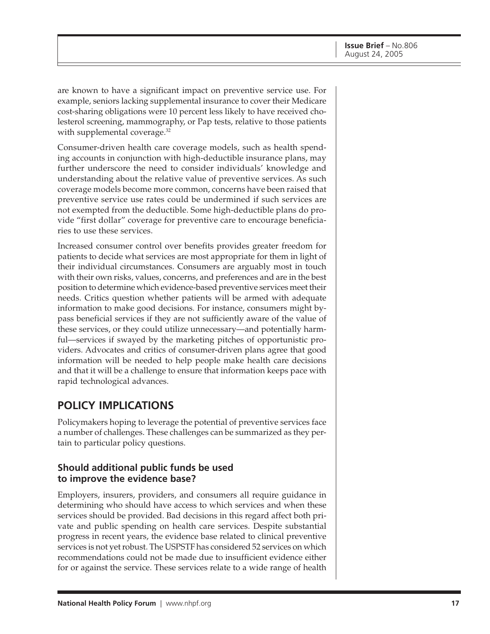are known to have a significant impact on preventive service use. For example, seniors lacking supplemental insurance to cover their Medicare cost-sharing obligations were 10 percent less likely to have received cholesterol screening, mammography, or Pap tests, relative to those patients with supplemental coverage.<sup>32</sup>

Consumer-driven health care coverage models, such as health spending accounts in conjunction with high-deductible insurance plans, may further underscore the need to consider individuals' knowledge and understanding about the relative value of preventive services. As such coverage models become more common, concerns have been raised that preventive service use rates could be undermined if such services are not exempted from the deductible. Some high-deductible plans do provide "first dollar" coverage for preventive care to encourage beneficiaries to use these services.

Increased consumer control over benefits provides greater freedom for patients to decide what services are most appropriate for them in light of their individual circumstances. Consumers are arguably most in touch with their own risks, values, concerns, and preferences and are in the best position to determine which evidence-based preventive services meet their needs. Critics question whether patients will be armed with adequate information to make good decisions. For instance, consumers might bypass beneficial services if they are not sufficiently aware of the value of these services, or they could utilize unnecessary—and potentially harmful—services if swayed by the marketing pitches of opportunistic providers. Advocates and critics of consumer-driven plans agree that good information will be needed to help people make health care decisions and that it will be a challenge to ensure that information keeps pace with rapid technological advances.

# **POLICY IMPLICATIONS**

Policymakers hoping to leverage the potential of preventive services face a number of challenges. These challenges can be summarized as they pertain to particular policy questions.

### **Should additional public funds be used to improve the evidence base?**

Employers, insurers, providers, and consumers all require guidance in determining who should have access to which services and when these services should be provided. Bad decisions in this regard affect both private and public spending on health care services. Despite substantial progress in recent years, the evidence base related to clinical preventive services is not yet robust. The USPSTF has considered 52 services on which recommendations could not be made due to insufficient evidence either for or against the service. These services relate to a wide range of health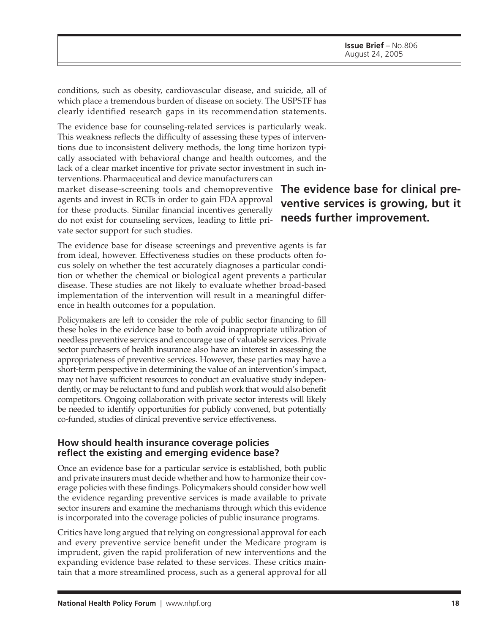conditions, such as obesity, cardiovascular disease, and suicide, all of which place a tremendous burden of disease on society. The USPSTF has clearly identified research gaps in its recommendation statements.

The evidence base for counseling-related services is particularly weak. This weakness reflects the difficulty of assessing these types of interventions due to inconsistent delivery methods, the long time horizon typically associated with behavioral change and health outcomes, and the lack of a clear market incentive for private sector investment in such interventions. Pharmaceutical and device manufacturers can

market disease-screening tools and chemopreventive agents and invest in RCTs in order to gain FDA approval for these products. Similar financial incentives generally do not exist for counseling services, leading to little private sector support for such studies.

The evidence base for disease screenings and preventive agents is far from ideal, however. Effectiveness studies on these products often focus solely on whether the test accurately diagnoses a particular condition or whether the chemical or biological agent prevents a particular disease. These studies are not likely to evaluate whether broad-based implementation of the intervention will result in a meaningful difference in health outcomes for a population.

Policymakers are left to consider the role of public sector financing to fill these holes in the evidence base to both avoid inappropriate utilization of needless preventive services and encourage use of valuable services. Private sector purchasers of health insurance also have an interest in assessing the appropriateness of preventive services. However, these parties may have a short-term perspective in determining the value of an intervention's impact, may not have sufficient resources to conduct an evaluative study independently, or may be reluctant to fund and publish work that would also benefit competitors. Ongoing collaboration with private sector interests will likely be needed to identify opportunities for publicly convened, but potentially co-funded, studies of clinical preventive service effectiveness.

### **How should health insurance coverage policies reflect the existing and emerging evidence base?**

Once an evidence base for a particular service is established, both public and private insurers must decide whether and how to harmonize their coverage policies with these findings. Policymakers should consider how well the evidence regarding preventive services is made available to private sector insurers and examine the mechanisms through which this evidence is incorporated into the coverage policies of public insurance programs.

Critics have long argued that relying on congressional approval for each and every preventive service benefit under the Medicare program is imprudent, given the rapid proliferation of new interventions and the expanding evidence base related to these services. These critics maintain that a more streamlined process, such as a general approval for all

**The evidence base for clinical preventive services is growing, but it needs further improvement.**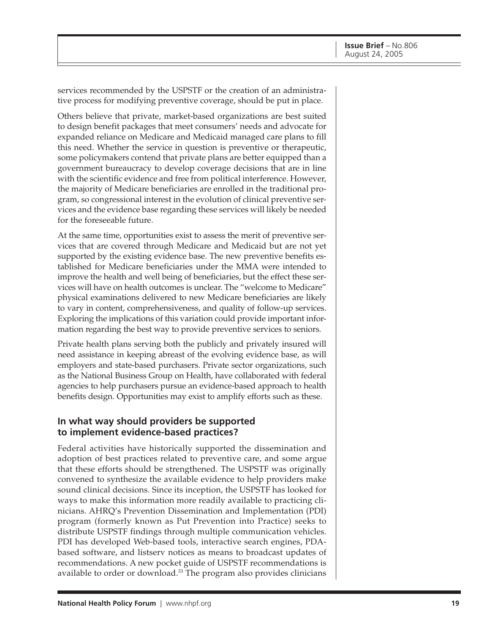services recommended by the USPSTF or the creation of an administrative process for modifying preventive coverage, should be put in place.

Others believe that private, market-based organizations are best suited to design benefit packages that meet consumers' needs and advocate for expanded reliance on Medicare and Medicaid managed care plans to fill this need. Whether the service in question is preventive or therapeutic, some policymakers contend that private plans are better equipped than a government bureaucracy to develop coverage decisions that are in line with the scientific evidence and free from political interference. However, the majority of Medicare beneficiaries are enrolled in the traditional program, so congressional interest in the evolution of clinical preventive services and the evidence base regarding these services will likely be needed for the foreseeable future.

At the same time, opportunities exist to assess the merit of preventive services that are covered through Medicare and Medicaid but are not yet supported by the existing evidence base. The new preventive benefits established for Medicare beneficiaries under the MMA were intended to improve the health and well being of beneficiaries, but the effect these services will have on health outcomes is unclear. The "welcome to Medicare" physical examinations delivered to new Medicare beneficiaries are likely to vary in content, comprehensiveness, and quality of follow-up services. Exploring the implications of this variation could provide important information regarding the best way to provide preventive services to seniors.

Private health plans serving both the publicly and privately insured will need assistance in keeping abreast of the evolving evidence base, as will employers and state-based purchasers. Private sector organizations, such as the National Business Group on Health, have collaborated with federal agencies to help purchasers pursue an evidence-based approach to health benefits design. Opportunities may exist to amplify efforts such as these.

#### **In what way should providers be supported to implement evidence-based practices?**

Federal activities have historically supported the dissemination and adoption of best practices related to preventive care, and some argue that these efforts should be strengthened. The USPSTF was originally convened to synthesize the available evidence to help providers make sound clinical decisions. Since its inception, the USPSTF has looked for ways to make this information more readily available to practicing clinicians. AHRQ's Prevention Dissemination and Implementation (PDI) program (formerly known as Put Prevention into Practice) seeks to distribute USPSTF findings through multiple communication vehicles. PDI has developed Web-based tools, interactive search engines, PDAbased software, and listserv notices as means to broadcast updates of recommendations. A new pocket guide of USPSTF recommendations is available to order or download.33 The program also provides clinicians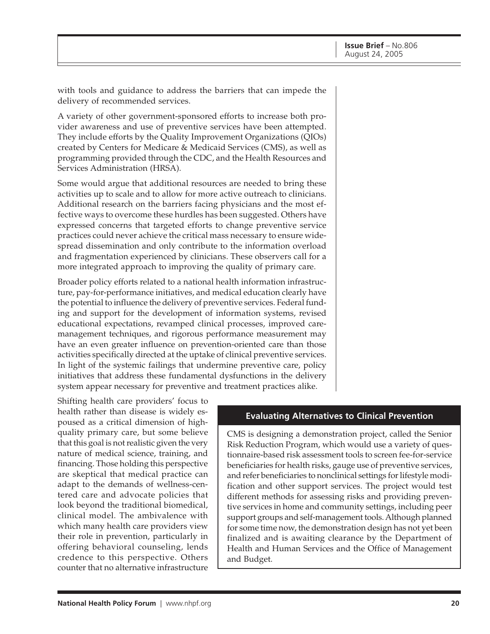with tools and guidance to address the barriers that can impede the delivery of recommended services.

A variety of other government-sponsored efforts to increase both provider awareness and use of preventive services have been attempted. They include efforts by the Quality Improvement Organizations (QIOs) created by Centers for Medicare & Medicaid Services (CMS), as well as programming provided through the CDC, and the Health Resources and Services Administration (HRSA).

Some would argue that additional resources are needed to bring these activities up to scale and to allow for more active outreach to clinicians. Additional research on the barriers facing physicians and the most effective ways to overcome these hurdles has been suggested. Others have expressed concerns that targeted efforts to change preventive service practices could never achieve the critical mass necessary to ensure widespread dissemination and only contribute to the information overload and fragmentation experienced by clinicians. These observers call for a more integrated approach to improving the quality of primary care.

Broader policy efforts related to a national health information infrastructure, pay-for-performance initiatives, and medical education clearly have the potential to influence the delivery of preventive services. Federal funding and support for the development of information systems, revised educational expectations, revamped clinical processes, improved caremanagement techniques, and rigorous performance measurement may have an even greater influence on prevention-oriented care than those activities specifically directed at the uptake of clinical preventive services. In light of the systemic failings that undermine preventive care, policy initiatives that address these fundamental dysfunctions in the delivery system appear necessary for preventive and treatment practices alike.

Shifting health care providers' focus to health rather than disease is widely espoused as a critical dimension of highquality primary care, but some believe that this goal is not realistic given the very nature of medical science, training, and financing. Those holding this perspective are skeptical that medical practice can adapt to the demands of wellness-centered care and advocate policies that look beyond the traditional biomedical, clinical model. The ambivalence with which many health care providers view their role in prevention, particularly in offering behavioral counseling, lends credence to this perspective. Others counter that no alternative infrastructure

#### **Evaluating Alternatives to Clinical Prevention**

CMS is designing a demonstration project, called the Senior Risk Reduction Program, which would use a variety of questionnaire-based risk assessment tools to screen fee-for-service beneficiaries for health risks, gauge use of preventive services, and refer beneficiaries to nonclinical settings for lifestyle modification and other support services. The project would test different methods for assessing risks and providing preventive services in home and community settings, including peer support groups and self-management tools. Although planned for some time now, the demonstration design has not yet been finalized and is awaiting clearance by the Department of Health and Human Services and the Office of Management and Budget.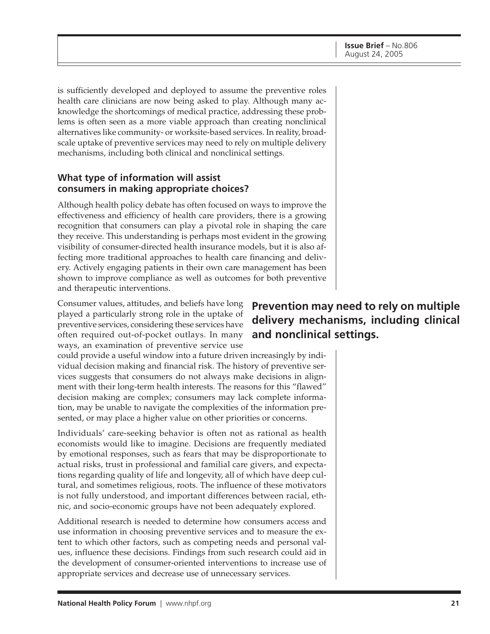is sufficiently developed and deployed to assume the preventive roles health care clinicians are now being asked to play. Although many acknowledge the shortcomings of medical practice, addressing these problems is often seen as a more viable approach than creating nonclinical alternatives like community- or worksite-based services. In reality, broadscale uptake of preventive services may need to rely on multiple delivery mechanisms, including both clinical and nonclinical settings.

#### **What type of information will assist consumers in making appropriate choices?**

Although health policy debate has often focused on ways to improve the effectiveness and efficiency of health care providers, there is a growing recognition that consumers can play a pivotal role in shaping the care they receive. This understanding is perhaps most evident in the growing visibility of consumer-directed health insurance models, but it is also affecting more traditional approaches to health care financing and delivery. Actively engaging patients in their own care management has been shown to improve compliance as well as outcomes for both preventive and therapeutic interventions.

Consumer values, attitudes, and beliefs have long played a particularly strong role in the uptake of preventive services, considering these services have often required out-of-pocket outlays. In many ways, an examination of preventive service use

could provide a useful window into a future driven increasingly by individual decision making and financial risk. The history of preventive services suggests that consumers do not always make decisions in alignment with their long-term health interests. The reasons for this "flawed" decision making are complex; consumers may lack complete information, may be unable to navigate the complexities of the information presented, or may place a higher value on other priorities or concerns.

Individuals' care-seeking behavior is often not as rational as health economists would like to imagine. Decisions are frequently mediated by emotional responses, such as fears that may be disproportionate to actual risks, trust in professional and familial care givers, and expectations regarding quality of life and longevity, all of which have deep cultural, and sometimes religious, roots. The influence of these motivators is not fully understood, and important differences between racial, ethnic, and socio-economic groups have not been adequately explored.

Additional research is needed to determine how consumers access and use information in choosing preventive services and to measure the extent to which other factors, such as competing needs and personal values, influence these decisions. Findings from such research could aid in the development of consumer-oriented interventions to increase use of appropriate services and decrease use of unnecessary services.

# **Prevention may need to rely on multiple delivery mechanisms, including clinical and nonclinical settings.**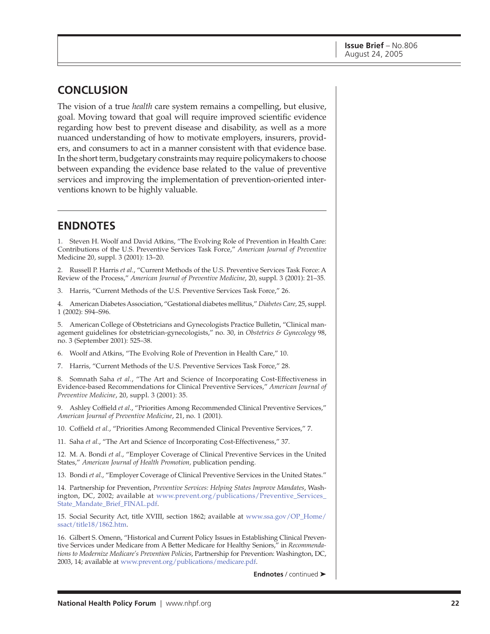## **CONCLUSION**

The vision of a true *health* care system remains a compelling, but elusive, goal. Moving toward that goal will require improved scientific evidence regarding how best to prevent disease and disability, as well as a more nuanced understanding of how to motivate employers, insurers, providers, and consumers to act in a manner consistent with that evidence base. In the short term, budgetary constraints may require policymakers to choose between expanding the evidence base related to the value of preventive services and improving the implementation of prevention-oriented interventions known to be highly valuable.

# **ENDNOTES**

1. Steven H. Woolf and David Atkins, "The Evolving Role of Prevention in Health Care: Contributions of the U.S. Preventive Services Task Force," *American Journal of Preventive* Medicine 20, suppl. 3 (2001): 13–20.

2. Russell P. Harris *et al.*, "Current Methods of the U.S. Preventive Services Task Force: A Review of the Process," *American Journal of Preventive Medicine*, 20, suppl. 3 (2001): 21–35.

3. Harris, "Current Methods of the U.S. Preventive Services Task Force," 26.

4. American Diabetes Association, "Gestational diabetes mellitus," *Diabetes Care,* 25, suppl. 1 (2002): S94–S96.

5. American College of Obstetricians and Gynecologists Practice Bulletin, "Clinical management guidelines for obstetrician-gynecologists," no. 30, in *Obstetrics & Gynecology* 98, no. 3 (September 2001): 525–38.

6. Woolf and Atkins, "The Evolving Role of Prevention in Health Care," 10.

7. Harris, "Current Methods of the U.S. Preventive Services Task Force," 28.

8. Somnath Saha *et al.*, "The Art and Science of Incorporating Cost-Effectiveness in Evidence-based Recommendations for Clinical Preventive Services," *American Journal of Preventive Medicine*, 20, suppl. 3 (2001): 35.

9. Ashley Coffield *et al*., "Priorities Among Recommended Clinical Preventive Services," *American Journal of Preventive Medicine*, 21, no. 1 (2001).

10. Coffield *et al.*, "Priorities Among Recommended Clinical Preventive Services," 7.

11. Saha *et al.*, "The Art and Science of Incorporating Cost-Effectiveness," 37.

12. M. A. Bondi *et al*., "Employer Coverage of Clinical Preventive Services in the United States," *American Journal of Health Promotion,* publication pending.

13. Bondi *et al*., "Employer Coverage of Clinical Preventive Services in the United States."

14. Partnership for Prevention, *Preventive Services: Helping States Improve Mandates*, Washington, DC, 2002; available at [www.prevent.org/publications/Preventive\\_Services\\_](http://www.prevent.org/publications/Preventive_Services_State_Mandate_Brief_FINAL.pdf) State\_Mandate\_Brief\_FINAL.pdf.

15. Social Security Act, title XVIII, section 1862; available at [www.ssa.gov/OP\\_Home/](http://www.ssa.gov/OP_Home/ssact/title18/1862.htm) ssact/title18/1862.htm.

16. Gilbert S. Omenn, "Historical and Current Policy Issues in Establishing Clinical Preventive Services under Medicare from A Better Medicare for Healthy Seniors," in *Recommendations to Modernize Medicare's Prevention Policies*, Partnership for Prevention: Washington, DC, 2003, 14; available at [www.prevent.org/publications/medicare.pdf.](http://www.prevent.org/publications/medicare.pdf)

**Endnotes** / continued ➤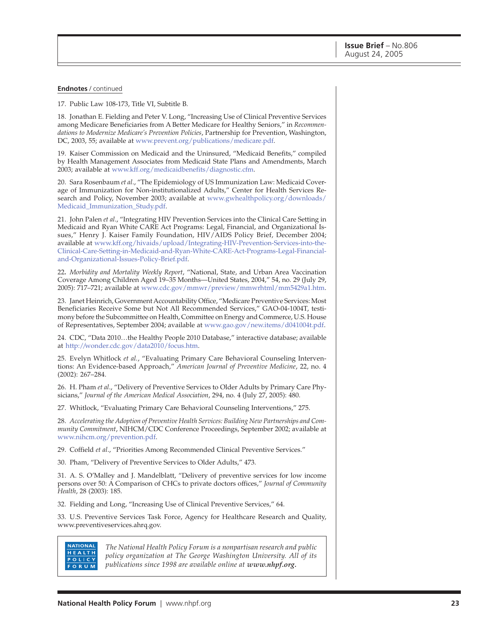#### **Endnotes** / continued

17. Public Law 108-173, Title VI, Subtitle B.

18. Jonathan E. Fielding and Peter V. Long, "Increasing Use of Clinical Preventive Services among Medicare Beneficiaries from A Better Medicare for Healthy Seniors," in *Recommendations to Modernize Medicare's Prevention Policies*, Partnership for Prevention, Washington, DC, 2003, 55; available a[t www.prevent.org/publications/medicare.pdf.](http://www.prevent.org/publications/medicare.pdf)

19. Kaiser Commission on Medicaid and the Uninsured, "Medicaid Benefits," compiled by Health Management Associates from Medicaid State Plans and Amendments, March 2003; available at [www.kff.org/medicaidbenefits/diagnostic.cfm.](http://www.kff.org/medicaidbenefits/diagnostic.cfm)

20. Sara Rosenbaum *et al*., "The Epidemiology of US Immunization Law: Medicaid Coverage of Immunization for Non-institutionalized Adults," Center for Health Services Research and Policy, November 2003; available at [www.gwhealthpolicy.org/downloads/](http://www.gwhealthpolicy.org/downloads/Medicaid_Immunization_Study.pdf) Medicaid\_Immunization\_Study.pdf.

21. John Palen *et al*., "Integrating HIV Prevention Services into the Clinical Care Setting in Medicaid and Ryan White CARE Act Programs: Legal, Financial, and Organizational Issues," Henry J. Kaiser Family Foundation, HIV/AIDS Policy Brief, December 2004; available at [www.kff.org/hivaids/upload/Integrating-HIV-Prevention-Services-into-the-](http://www.kff.org/hivaids/upload/Integrating-HIV-Prevention-Services-into-the-Clinical-Care-Setting-in-Medicaid-and-Ryan-White-CARE-Act-Programs-Legal-Financial-and-Organizational-Issues-Policy-Brief.pdf)Clinical-Care-Setting-in-Medicaid-and-Ryan-White-CARE-Act-Programs-Legal-Financialand-Organizational-Issues-Policy-Brief.pdf.

22**.** *Morbidity and Mortality Weekly Report*, "National, State, and Urban Area Vaccination Coverage Among Children Aged 19–35 Months—United States, 2004," 54, no. 29 (July 29, 2005): 717–721; available a[t www.cdc.gov/mmwr/preview/mmwrhtml/mm5429a1.htm.](http://www.cdc.gov/mmwr/preview/mmwrhtml/mm5429a1.htm)

23. Janet Heinrich, Government Accountability Office, "Medicare Preventive Services: Most Beneficiaries Receive Some but Not All Recommended Services," GAO-04-1004T, testimony before the Subcommittee on Health, Committee on Energy and Commerce, U.S. House of Representatives, September 2004; available at [www.gao.gov/new.items/d041004t.pdf.](http://www.gao.gov/new.items/d041004t.pdf)

24. CDC, "Data 2010…the Healthy People 2010 Database," interactive database; available at [http://wonder.cdc.gov/data2010/focus.htm.](http://wonder.cdc.gov/data2010/focus.htm)

25. Evelyn Whitlock *et al.*, "Evaluating Primary Care Behavioral Counseling Interventions: An Evidence-based Approach," *American Journal of Preventive Medicine*, 22, no. 4 (2002): 267–284.

26. H. Pham *et al*., "Delivery of Preventive Services to Older Adults by Primary Care Physicians," *Journal of the American Medical Association*, 294, no. 4 (July 27, 2005): 480.

27. Whitlock, "Evaluating Primary Care Behavioral Counseling Interventions," 275.

28. *Accelerating the Adoption of Preventive Health Services: Building New Partnerships and Community Commitment*, NIHCM/CDC Conference Proceedings, September 2002; available at [www.nihcm.org/prevention.pdf.](http://www.nihcm.org/prevention.pdf)

29. Coffield *et al*., "Priorities Among Recommended Clinical Preventive Services."

30. Pham, "Delivery of Preventive Services to Older Adults," 473.

31. A. S. O'Malley and J. Mandelblatt, "Delivery of preventive services for low income persons over 50: A Comparison of CHCs to private doctors offices," *Journal of Community Health*, 28 (2003): 185.

32. Fielding and Long, "Increasing Use of Clinical Preventive Services," 64.

33. U.S. Preventive Services Task Force, Agency for Healthcare Research and Quality, www.preventiveservices.ahrq.gov.

#### **NATIONAL** HEALTH POLICY **FORUM**

*The National Health Policy Forum is a nonpartisan research and public policy organization at The George Washington University. All of its publications since 1998 are available online at www.nhpf.org.*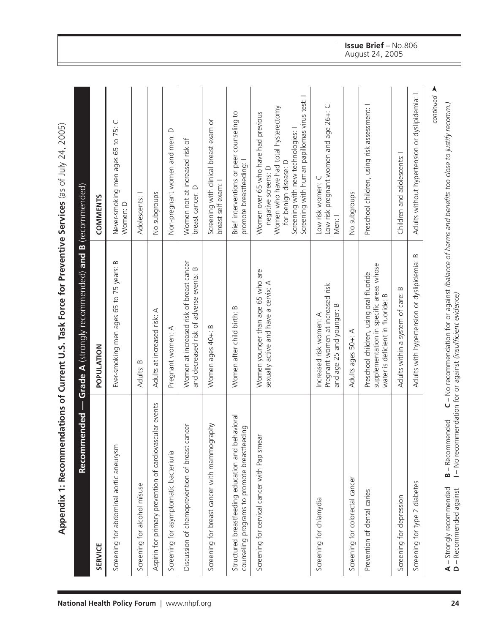| <b>SERVICE</b>                                                                                    | POPULATION                                                                                                              | <b>COMMENTS</b>                                                                                                                                                                                                   |
|---------------------------------------------------------------------------------------------------|-------------------------------------------------------------------------------------------------------------------------|-------------------------------------------------------------------------------------------------------------------------------------------------------------------------------------------------------------------|
| Screening for abdominal aortic aneurysm                                                           | Ever-smoking men ages 65 to 75 years: B                                                                                 | Never-smoking men ages 65 to 75: C<br>Women: D                                                                                                                                                                    |
| Screening for alcohol misuse                                                                      | Adults: B                                                                                                               | Adolescents: I                                                                                                                                                                                                    |
| Aspirin for primary prevention of cardiovascular events                                           | Adults at increased risk: A                                                                                             | No subgroups                                                                                                                                                                                                      |
| Screening for asymptomatic bacteriuria                                                            | Pregnant women: A                                                                                                       | Non-pregnant women and men: D                                                                                                                                                                                     |
| Discussion of chemoprevention of breast cancer                                                    | Women at increased risk of breast cancer<br>and decreased risk of adverse events: B                                     | Women not at increased risk of<br>breast cancer: D                                                                                                                                                                |
| Screening for breast cancer with mammography                                                      | Women ages 40+: B                                                                                                       | Screening with clinical breast exam or<br>breast self exam: I                                                                                                                                                     |
| Structured breastfeeding education and behavioral<br>counseling programs to promote breastfeeding | Women after child birth: B                                                                                              | Brief interventions or peer counseling to<br>promote breastfeeding: I                                                                                                                                             |
| Screening for cervical cancer with Pap smear                                                      | Women younger than age 65 who are<br>sexually active and have a cervix: A                                               | Screening with human papillomas virus test: I<br>Women who have had total hysterectomy<br>Women over 65 who have had previous<br>Screening with new technologies:<br>for benign disease: D<br>negative screens: D |
| Screening for chlamydia                                                                           | Pregnant women at increased risk<br>≃<br>and age 25 and younger:<br>Increased risk women: A                             | Low risk pregnant women and age 26+: C<br>Low risk women: C<br>Men: I                                                                                                                                             |
| Screening for colorectal cancer                                                                   | Adults ages 50+: A                                                                                                      | No subgroups                                                                                                                                                                                                      |
| Prevention of dental caries                                                                       | supplementation in specific areas whose<br>Preschool children, using oral fluoride<br>water is deficient in fluoride: B | Preschool children, using risk assessment: I                                                                                                                                                                      |
| Screening for depression                                                                          | Adults within a system of care: B                                                                                       | Children and adolescents: I                                                                                                                                                                                       |
| Screening for type 2 diabetes                                                                     | Adults with hypertension or dyslipidemia: B                                                                             | Adults without hypertension or dyslipidemia: I                                                                                                                                                                    |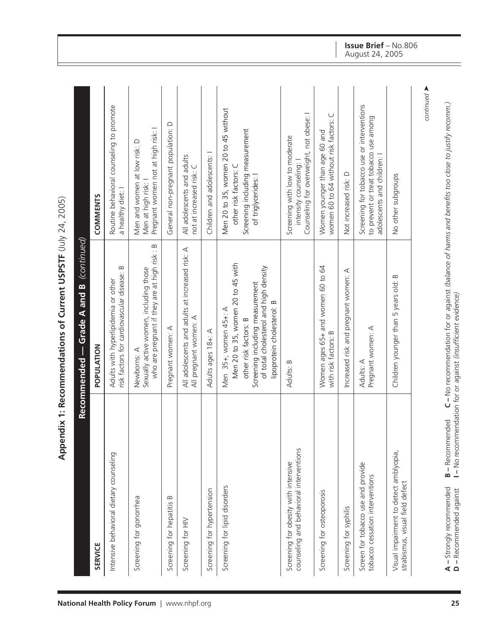|                                                                                 | POPULATION                                                                                                                                                                                    | <b>COMMENTS</b>                                                                                                         |
|---------------------------------------------------------------------------------|-----------------------------------------------------------------------------------------------------------------------------------------------------------------------------------------------|-------------------------------------------------------------------------------------------------------------------------|
| Intensive behavioral dietary counseling                                         | $\infty$<br>risk factors for cardiovascular disease:<br>Adults with hyperlipidemia or other                                                                                                   | Routine behavioral counseling to promote<br>a healthy diet: I                                                           |
| Screening for gonorrhea                                                         | who are pregnant if they are at high risk: B<br>Sexually active women, including those<br>Newborns: A                                                                                         | Pregnant women not at high risk: I<br>Men and women at low risk: D<br>Men at high risk: I                               |
| Screening for hepatitis B                                                       | Pregnant women: A                                                                                                                                                                             | General non-pregnant population: D                                                                                      |
| Screening for HIV                                                               | All adolescents and adults at increased risk: A<br>All pregnant women: A                                                                                                                      | All adolescents and adults<br>not at increased risk: C                                                                  |
| Screening for hypertension                                                      | Adults ages 18+: A                                                                                                                                                                            | Children and adolescents: I                                                                                             |
| Screening for lipid disorders                                                   | Men 20 to 35, women 20 to 45 with<br>of total cholesterol and high density<br>Screening including measurement<br>lipoprotein cholesterol: B<br>Men 35+, women 45+: A<br>other risk factors: B | Men 20 to 35, women 20 to 45 without<br>Screening including measurement<br>other risk factors: C<br>of triglycerides: I |
| counseling and behavioral interventions<br>Screening for obesity with intensive | Adults: B                                                                                                                                                                                     | Counseling for overweight, not obese: I<br>Screening with low to moderate<br>intensity counseling:                      |
| Screening for osteoporosis                                                      | Women ages 65+ and women 60 to 64<br>with risk factors: B                                                                                                                                     | women 60 to 64 without risk factors: C<br>Women younger than age 60 and                                                 |
| Screening for syphilis                                                          | Increased risk and pregnant women: A                                                                                                                                                          | Not increased risk: D                                                                                                   |
| Screen for tobacco use and provide<br>tobacco cessation interventions           | Pregnant women: A<br>Adults: A                                                                                                                                                                | Screening for tobacco use or interventions<br>to prevent or treat tobacco use among<br>adolescents and children: I      |
| Visual impairment to detect amblyopia,<br>strabismus, visual field defect       | Children younger than 5 years old: B                                                                                                                                                          | No other subgroups                                                                                                      |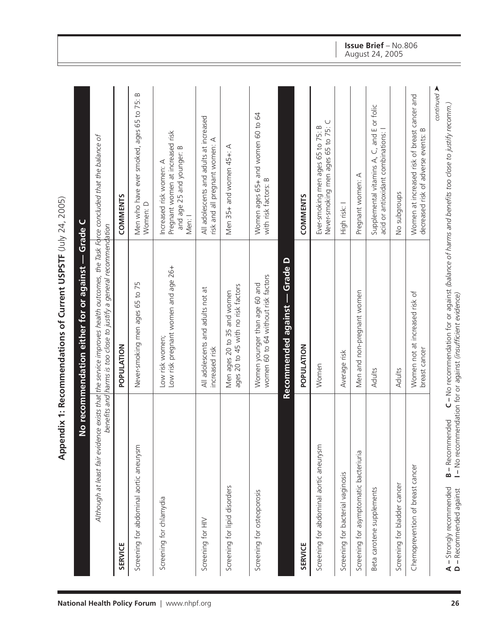|                                         | Although at least fair evidence exists that the service improves health outcomes, the Task Force concluded that the balance of<br>benefits and harms is too close to justify a general recommendation |                                                                                                    |
|-----------------------------------------|-------------------------------------------------------------------------------------------------------------------------------------------------------------------------------------------------------|----------------------------------------------------------------------------------------------------|
| <b>SERVICE</b>                          | POPULATION                                                                                                                                                                                            | <b>COMMENTS</b>                                                                                    |
| Screening for abdominal aortic aneurysm | Never-smoking men ages 65 to 75                                                                                                                                                                       | Men who have ever smoked, ages 65 to 75: B<br>Women: D                                             |
| Screening for chlamydia                 | Low risk pregnant women and age 26+<br>Low risk women;                                                                                                                                                | Pregnant women at increased risk<br>and age 25 and younger: B<br>Increased risk women: A<br>Men: I |
| Screening for HIV                       | All adolescents and adults not at<br>increased risk                                                                                                                                                   | All adolescents and adults at increased<br>risk and all pregnant women: A                          |
| Screening for lipid disorders           | ages 20 to 45 with no risk factors<br>Men ages 20 to 35 and women                                                                                                                                     | Men 35+ and women 45+: A                                                                           |
| Screening for osteoporosis              | women 60 to 64 without risk factors<br>Women younger than age 60 and                                                                                                                                  | Women ages 65+ and women 60 to 64<br>with risk factors: B                                          |
|                                         | Recommended against — Grade D                                                                                                                                                                         |                                                                                                    |
| <b>SERVICE</b>                          | POPULATION                                                                                                                                                                                            | COMMENTS                                                                                           |
| Screening for abdominal aortic aneurysm | Women                                                                                                                                                                                                 | Never-smoking men ages 65 to 75: C<br>Ever-smoking men ages 65 to 75: B                            |
| Screening for bacterial vaginosis       | Average risk                                                                                                                                                                                          | High risk: I                                                                                       |
| Screening for asymptomatic bacteriuria  | Men and non-pregnant women                                                                                                                                                                            | Pregnant women: A                                                                                  |
| Beta carotene supplements               | Adults                                                                                                                                                                                                | Supplemental vitamins A, C, and E or folic<br>acid or antioxidant combinations: I                  |
| Screening for bladder cancer            | Adults                                                                                                                                                                                                | No subgroups                                                                                       |
| Chemoprevention of breast cancer        | Women not at increased risk of<br>breast cancer                                                                                                                                                       | Women at increased risk of breast cancer and<br>$\infty$<br>decreased risk of adverse events:      |

#### **Issue Brief** – No.806 August 24, 2005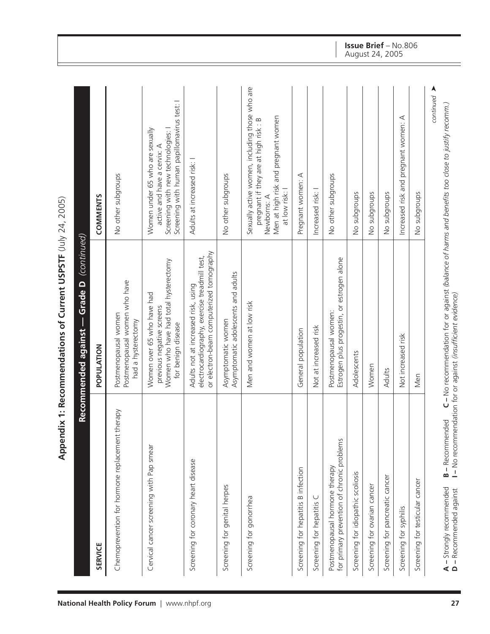| <b>SERVICE</b>                                                               | POPULATION                                                                                                                       | <b>COMMENTS</b>                                                                                                                                                |
|------------------------------------------------------------------------------|----------------------------------------------------------------------------------------------------------------------------------|----------------------------------------------------------------------------------------------------------------------------------------------------------------|
| therapy<br>Chemoprevention for hormone replacement                           | Postmenopausal women who have<br>Postmenopausal women<br>had a hysterectomy                                                      | No other subgroups                                                                                                                                             |
| Cervical cancer screening with Pap smear                                     | Women who have had total hysterectomy<br>Women over 65 who have had<br>previous negative screens<br>for benign disease           | Screening with human papillomavirus test: I<br>Screening with new technologies: I<br>Women under 65 who are sexually<br>active and have a cervix: A            |
| Screening for coronary heart disease                                         | or electron-beam computerized tomography<br>electrocardiography, exercise treadmill test,<br>Adults not at increased risk, using | Adults at increased risk: I                                                                                                                                    |
| Screening for genital herpes                                                 | Asymptomatic adolescents and adults<br>Asymptomatic women                                                                        | No other subgroups                                                                                                                                             |
| Screening for gonorrhea                                                      | Men and women at low risk                                                                                                        | Sexually active women, including those who are<br>Men at high risk and pregnant women<br>pregnant if they are at high risk: B<br>at low risk: I<br>Newborns: A |
| Screening for hepatitis B infection                                          | General population                                                                                                               | Pregnant women: A                                                                                                                                              |
| ◡<br>Screening for hepatitis                                                 | Not at increased risk                                                                                                            | Increased risk: I                                                                                                                                              |
| for primary prevention of chronic problems<br>Postmenopausal hormone therapy | Estrogen plus progestin, or estrogen alone<br>Postmenopausal women:                                                              | No other subgroups                                                                                                                                             |
| Screening for idiopathic scoliosis                                           | Adolescents                                                                                                                      | No subgroups                                                                                                                                                   |
| Screening for ovarian cancer                                                 | Women                                                                                                                            | No subgroups                                                                                                                                                   |
| Screening for pancreatic cancer                                              | Adults                                                                                                                           | No subgroups                                                                                                                                                   |
| Screening for syphilis                                                       | Not increased risk                                                                                                               | Increased risk and pregnant women: A                                                                                                                           |
| Screening for testicular cancer                                              | Men                                                                                                                              | No subgroups                                                                                                                                                   |

#### **Issue Brief** – No.806 August 24, 2005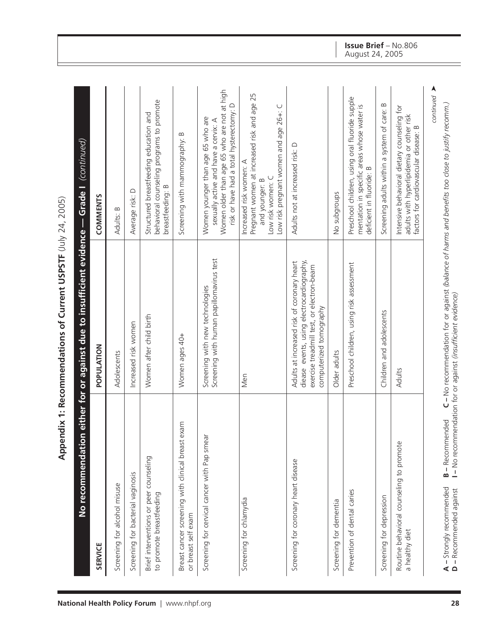| <b>SERVICE</b>                                                           | POPULATION                                                                                                                                                      | <b>COMMENTS</b>                                                                                                                                                      |
|--------------------------------------------------------------------------|-----------------------------------------------------------------------------------------------------------------------------------------------------------------|----------------------------------------------------------------------------------------------------------------------------------------------------------------------|
| Screening for alcohol misuse                                             | Adolescents                                                                                                                                                     | Adults: B                                                                                                                                                            |
| Screening for bacterial vaginosis                                        | Increased risk women                                                                                                                                            | Average risk: D                                                                                                                                                      |
| Brief interventions or peer counseling<br>to promote breastfeeding       | Women after child birth                                                                                                                                         | behavioral counseling programs to promote<br>Structured breastfeeding education and<br>breastfeeding: B                                                              |
| Breast cancer screening with clinical breast exam<br>or breast self exam | Women ages 40+                                                                                                                                                  | Screening with mammography: B                                                                                                                                        |
| Screening for cervical cancer with Pap smear                             | Screening with human papillomavirus test<br>Screening with new technologies                                                                                     | Women older than age 65 who are not at high<br>risk or have had a total hysterectomy: D<br>Women younger than age 65 who are<br>sexually active and have a cervix: A |
| Screening for chlamydia                                                  | Men                                                                                                                                                             | Pregnant women at increased risk and age 25<br>Low risk pregnant women and age 26+: C<br>Increased risk women: A<br>Low risk women: C<br>and younger: B              |
| Screening for coronary heart disease                                     | diease events, using electrocardiography,<br>Adults at increased risk of coronary heart<br>exercise treadmill test, or electron-beam<br>computerized tomography | Adults not at increased risk: D                                                                                                                                      |
| Screening for dementia                                                   | Older adults                                                                                                                                                    | No subgroups                                                                                                                                                         |
| Prevention of dental caries                                              | Preschool children, using risk assessment                                                                                                                       | Preschool children, using oral fluoride supple<br>mentation in specific areas whose water is<br>deficient in fluoride: B                                             |
| Screening for depression                                                 | Children and adolescents                                                                                                                                        | $\bf{m}$<br>Screening adults within a system of care:                                                                                                                |
| Routine behavioral counseling to promote<br>a healthy diet               | Adults                                                                                                                                                          | Intensive behavioral dietary counseling for<br>adults with hyperlipidemia or other risk<br>factors for cardiovascular disease: B                                     |